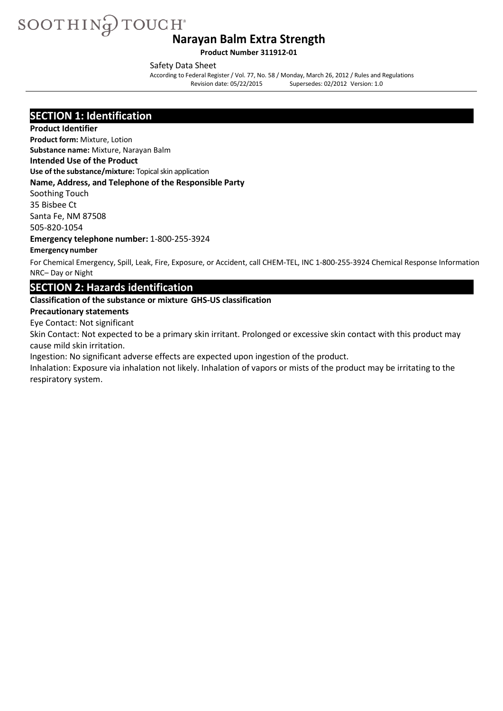**Product Number 311912-01**

Safety Data Sheet

According to Federal Register/ Vol. 77, No. 58 / Monday, March 26, 2012 / Rules and Regulations Revision date: 05/22/2015 Supersedes: 02/2012 Version: 1.0

### **SECTION 1: Identification**

#### **Product Identifier**

**Product form:** Mixture, Lotion

**Substance name:** Mixture, Narayan Balm

### **Intended Use of the Product**

**Use of the substance/mixture:** Topical skin application

#### **Name, Address, and Telephone of the Responsible Party**

Soothing Touch

35 Bisbee Ct Santa Fe, NM 87508

505-820-1054

**Emergency telephone number:** 1-800-255-3924

#### **Emergency number**

For Chemical Emergency, Spill, Leak, Fire, Exposure, or Accident, call CHEM-TEL, INC 1-800-255-3924 Chemical Response Information NRC– Day or Night

### **SECTION 2: Hazards identification**

#### **Classification of the substance or mixture GHS-US classification**

#### **Precautionary statements**

Eye Contact: Not significant

Skin Contact: Not expected to be a primary skin irritant. Prolonged or excessive skin contact with this product may cause mild skin irritation.

Ingestion: No significant adverse effects are expected upon ingestion of the product.

Inhalation: Exposure via inhalation not likely. Inhalation of vapors or mists of the product may be irritating to the respiratory system.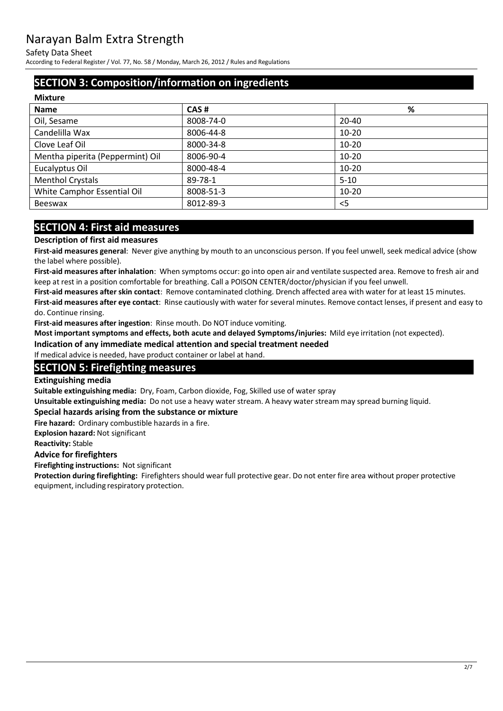Safety Data Sheet

According to Federal Register/ Vol. 77, No. 58 / Monday, March 26, 2012 / Rules and Regulations

# **SECTION 3: Composition/information on ingredients**

| CAS#      | %         |
|-----------|-----------|
| 8008-74-0 | $20 - 40$ |
| 8006-44-8 | $10 - 20$ |
| 8000-34-8 | $10 - 20$ |
| 8006-90-4 | $10 - 20$ |
| 8000-48-4 | $10 - 20$ |
| 89-78-1   | $5 - 10$  |
| 8008-51-3 | $10 - 20$ |
| 8012-89-3 | $<$ 5     |
|           |           |

# **SECTION 4: First aid measures**

#### **Description of first aid measures**

**First-aid measures general**: Never give anything by mouth to an unconscious person. If you feel unwell, seek medical advice (show the label where possible).

**First-aid measures after inhalation**: When symptoms occur: go into open air and ventilate suspected area. Remove to fresh air and keep at rest in a position comfortable for breathing. Call a POISON CENTER/doctor/physician if you feel unwell.

**First-aid measures after skin contact**: Remove contaminated clothing. Drench affected area with water for at least 15 minutes.

**First-aid measures after eye contact**: Rinse cautiously with water for several minutes. Remove contact lenses, if present and easy to do. Continue rinsing.

**First-aid measures after ingestion**: Rinse mouth. Do NOT induce vomiting.

**Most important symptoms and effects, both acute and delayed Symptoms/injuries:** Mild eye irritation (not expected).

**Indication of any immediate medical attention and special treatment needed** 

If medical advice is needed, have product container or label at hand.

#### **SECTION 5: Firefighting measures**

**Extinguishing media**

**Suitable extinguishing media:** Dry, Foam, Carbon dioxide, Fog, Skilled use of water spray

**Unsuitable extinguishing media:** Do not use a heavy water stream. A heavy water stream may spread burning liquid.

**Special hazards arising from the substance or mixture**

**Fire hazard:** Ordinary combustible hazards in a fire.

**Explosion hazard:** Not significant

**Reactivity:** Stable

#### **Advice for firefighters**

**Firefighting instructions:** Not significant

**Protection during firefighting:** Firefighters should wear full protective gear. Do not enter fire area without proper protective equipment, including respiratory protection.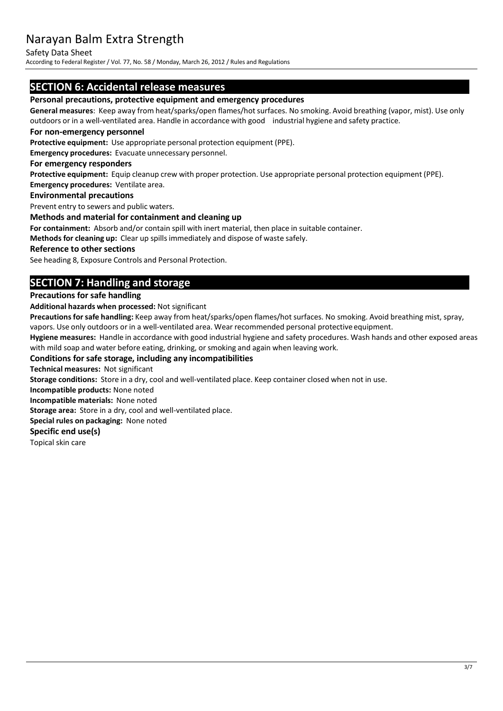#### Safety Data Sheet

According to Federal Register/ Vol. 77, No. 58 / Monday, March 26, 2012 / Rules and Regulations

### **SECTION 6: Accidental release measures**

#### **Personal precautions, protective equipment and emergency procedures**

**General measures**: Keep away from heat/sparks/open flames/hot surfaces. No smoking. Avoid breathing (vapor, mist). Use only outdoors or in a well-ventilated area. Handle in accordance with good industrial hygiene and safety practice.

#### **For non-emergency personnel**

**Protective equipment:** Use appropriate personal protection equipment (PPE).

**Emergency procedures:** Evacuate unnecessary personnel.

#### **For emergency responders**

**Protective equipment:** Equip cleanup crew with proper protection. Use appropriate personal protection equipment (PPE). **Emergency procedures:** Ventilate area.

#### **Environmental precautions**

Prevent entry to sewers and public waters.

#### **Methods and material for containment and cleaning up**

**For containment:** Absorb and/or contain spill with inert material, then place in suitable container.

**Methods for cleaning up:** Clear up spillsimmediately and dispose of waste safely.

#### **Reference to other sections**

See heading 8, Exposure Controls and Personal Protection.

# **SECTION 7: Handling and storage**

#### **Precautions for safe handling**

**Additional hazards when processed:** Not significant

Precautions for safe handling: Keep away from heat/sparks/open flames/hot surfaces. No smoking. Avoid breathing mist, spray, vapors. Use only outdoors or in a well-ventilated area. Wear recommended personal protective equipment.

**Hygiene measures:** Handle in accordance with good industrial hygiene and safety procedures. Wash hands and other exposed areas with mild soap and water before eating, drinking, or smoking and again when leaving work.

#### **Conditions for safe storage, including any incompatibilities**

**Technical measures:** Not significant

**Storage conditions:** Store in a dry, cool and well-ventilated place. Keep container closed when not in use.

**Incompatible products:** None noted

**Incompatible materials:** None noted

**Storage area:** Store in a dry, cool and well-ventilated place.

**Special rules on packaging:** None noted

#### **Specific end use(s)**

Topical skin care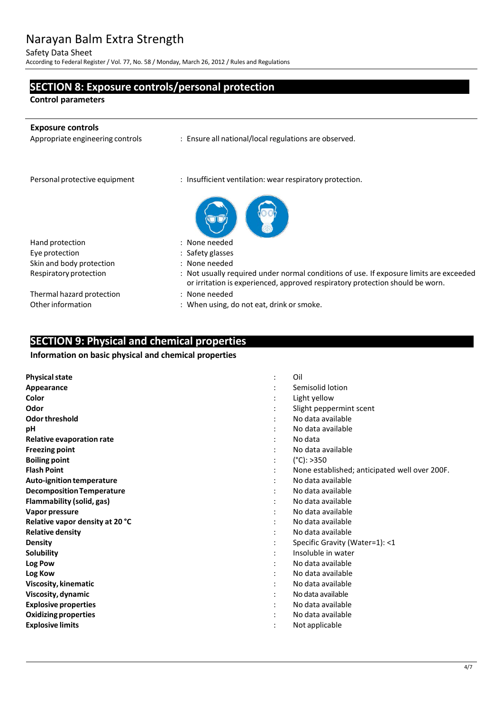Safety Data Sheet

According to Federal Register/ Vol. 77, No. 58 / Monday, March 26, 2012 / Rules and Regulations

# **SECTION 8: Exposure controls/personal protection**

**Control parameters**

j.

| <b>Exposure controls</b><br>Appropriate engineering controls | : Ensure all national/local regulations are observed.                                                                                                                   |
|--------------------------------------------------------------|-------------------------------------------------------------------------------------------------------------------------------------------------------------------------|
| Personal protective equipment                                | : Insufficient ventilation: wear respiratory protection.                                                                                                                |
| Hand protection                                              | : None needed                                                                                                                                                           |
| Eye protection                                               | : Safety glasses                                                                                                                                                        |
| Skin and body protection                                     | : None needed                                                                                                                                                           |
| Respiratory protection                                       | : Not usually required under normal conditions of use. If exposure limits are exceeded<br>or irritation is experienced, approved respiratory protection should be worn. |
| Thermal hazard protection                                    | : None needed                                                                                                                                                           |
| Other information                                            | : When using, do not eat, drink or smoke.                                                                                                                               |

# **SECTION 9: Physical and chemical properties**

#### **Information on basic physical and chemical properties**

| <b>Physical state</b>            | $\ddot{\cdot}$ | Oil                                           |
|----------------------------------|----------------|-----------------------------------------------|
| Appearance                       |                | Semisolid lotion                              |
| Color                            |                | Light yellow                                  |
| Odor                             |                | Slight peppermint scent                       |
| Odor threshold                   |                | No data available                             |
| рH                               |                | No data available                             |
| Relative evaporation rate        |                | No data                                       |
| <b>Freezing point</b>            |                | No data available                             |
| <b>Boiling point</b>             |                | $(^{\circ}C):>350$                            |
| <b>Flash Point</b>               |                | None established; anticipated well over 200F. |
| <b>Auto-ignition temperature</b> |                | No data available                             |
| <b>Decomposition Temperature</b> |                | No data available                             |
| <b>Flammability (solid, gas)</b> |                | No data available                             |
| Vapor pressure                   |                | No data available                             |
| Relative vapor density at 20 °C  |                | No data available                             |
| <b>Relative density</b>          |                | No data available                             |
| Density                          |                | Specific Gravity (Water=1): <1                |
| <b>Solubility</b>                |                | Insoluble in water                            |
| Log Pow                          |                | No data available                             |
| Log Kow                          |                | No data available                             |
| Viscosity, kinematic             |                | No data available                             |
| Viscosity, dynamic               |                | No data available                             |
| <b>Explosive properties</b>      |                | No data available                             |
| <b>Oxidizing properties</b>      |                | No data available                             |
| <b>Explosive limits</b>          |                | Not applicable                                |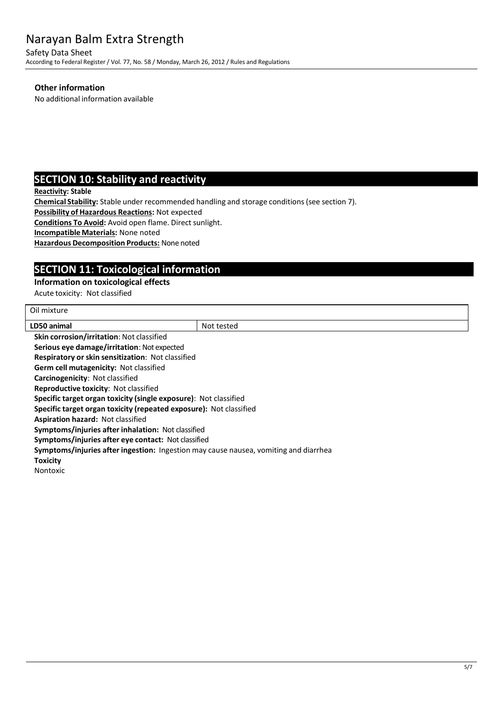Safety Data Sheet According to Federal Register/ Vol. 77, No. 58 / Monday, March 26, 2012 / Rules and Regulations

#### **Other information**

No additional information available

# **SECTION 10: Stability and reactivity**

**Reactivity: Stable**

**Chemical Stability:** Stable under recommended handling and storage conditions(see section 7).

**Possibility of Hazardous Reactions:** Not expected

**Conditions To Avoid:** Avoid open flame. Direct sunlight.

**IncompatibleMaterials:** None noted

**Hazardous Decomposition Products:** None noted

# **SECTION 11: Toxicological information**

#### **Information on toxicological effects**

Acute toxicity: Not classified

| Oil mixture                                                                          |            |
|--------------------------------------------------------------------------------------|------------|
| LD50 animal                                                                          | Not tested |
| <b>Skin corrosion/irritation: Not classified</b>                                     |            |
| Serious eye damage/irritation: Not expected                                          |            |
| <b>Respiratory or skin sensitization: Not classified</b>                             |            |
| Germ cell mutagenicity: Not classified                                               |            |
| Carcinogenicity: Not classified                                                      |            |
| <b>Reproductive toxicity: Not classified</b>                                         |            |
| <b>Specific target organ toxicity (single exposure):</b> Not classified              |            |
| Specific target organ toxicity (repeated exposure): Not classified                   |            |
| Aspiration hazard: Not classified                                                    |            |
| Symptoms/injuries after inhalation: Not classified                                   |            |
| Symptoms/injuries after eye contact: Not classified                                  |            |
| Symptoms/injuries after ingestion: Ingestion may cause nausea, vomiting and diarrhea |            |
| <b>Toxicity</b>                                                                      |            |
| <b>Nontoxic</b>                                                                      |            |
|                                                                                      |            |
|                                                                                      |            |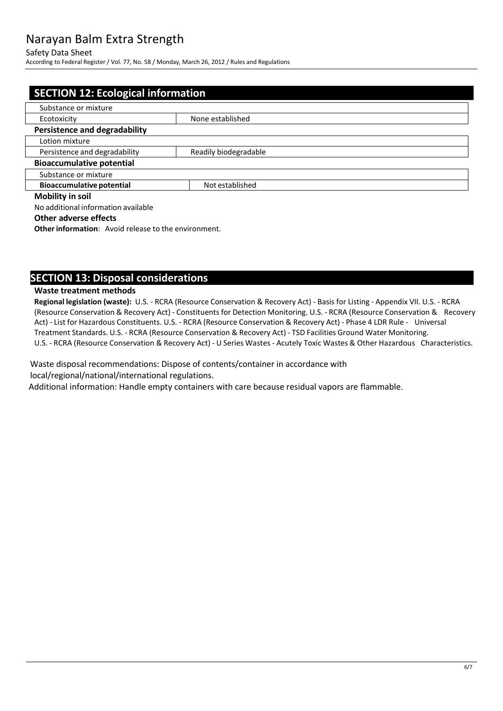#### Safety Data Sheet

According to Federal Register/ Vol. 77, No. 58 / Monday, March 26, 2012 / Rules and Regulations

| <b>SECTION 12: Ecological information</b>              |  |  |  |
|--------------------------------------------------------|--|--|--|
| Substance or mixture                                   |  |  |  |
| None established<br>Ecotoxicity                        |  |  |  |
| <b>Persistence and degradability</b>                   |  |  |  |
| Lotion mixture                                         |  |  |  |
| Persistence and degradability<br>Readily biodegradable |  |  |  |
| <b>Bioaccumulative potential</b>                       |  |  |  |
| Substance or mixture                                   |  |  |  |
| <b>Bioaccumulative potential</b><br>Not established    |  |  |  |
| <b>Mobility in soil</b>                                |  |  |  |
| No additional information available                    |  |  |  |

#### **Other adverse effects**

**Other information:** Avoid release to the environment.

### **SECTION 13: Disposal considerations**

#### **Waste treatment methods**

**Regional legislation (waste):** U.S. - RCRA (Resource Conservation & Recovery Act) - Basis for Listing - Appendix VII. U.S. - RCRA (Resource Conservation & Recovery Act) - Constituentsfor Detection Monitoring. U.S. - RCRA (Resource Conservation & Recovery Act) - List for Hazardous Constituents. U.S. - RCRA (Resource Conservation & Recovery Act) - Phase 4 LDR Rule - Universal Treatment Standards. U.S. - RCRA (Resource Conservation & Recovery Act) - TSD Facilities Ground Water Monitoring. U.S. - RCRA (Resource Conservation & Recovery Act) - U Series Wastes - Acutely Toxic Wastes & Other Hazardous Characteristics.

Waste disposal recommendations: Dispose of contents/container in accordance with local/regional/national/international regulations.

Additional information: Handle empty containers with care because residual vapors are flammable.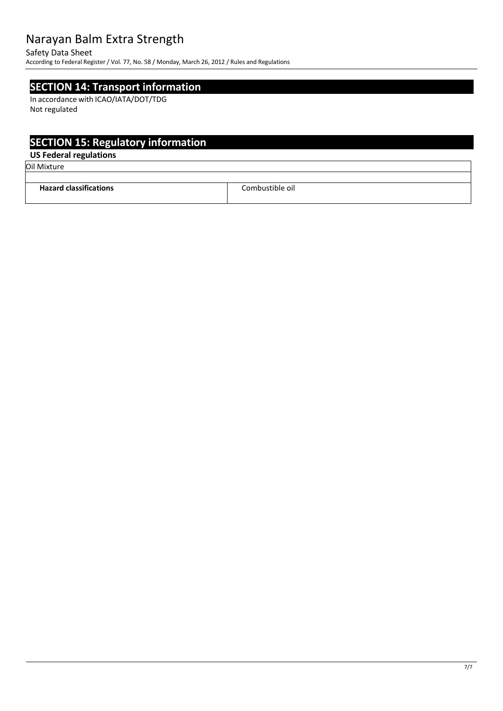#### Safety Data Sheet

According to Federal Register/ Vol. 77, No. 58 / Monday, March 26, 2012 / Rules and Regulations

### **SECTION 14: Transport information**

In accordance with ICAO/IATA/DOT/TDG Not regulated

# **SECTION 15: Regulatory information**

### **US Federal regulations**

Oil Mixture

| $\cdot$<br><b>Hazard classific</b><br>:ations<br>. | Combustible oil.<br>. |
|----------------------------------------------------|-----------------------|
|                                                    |                       |